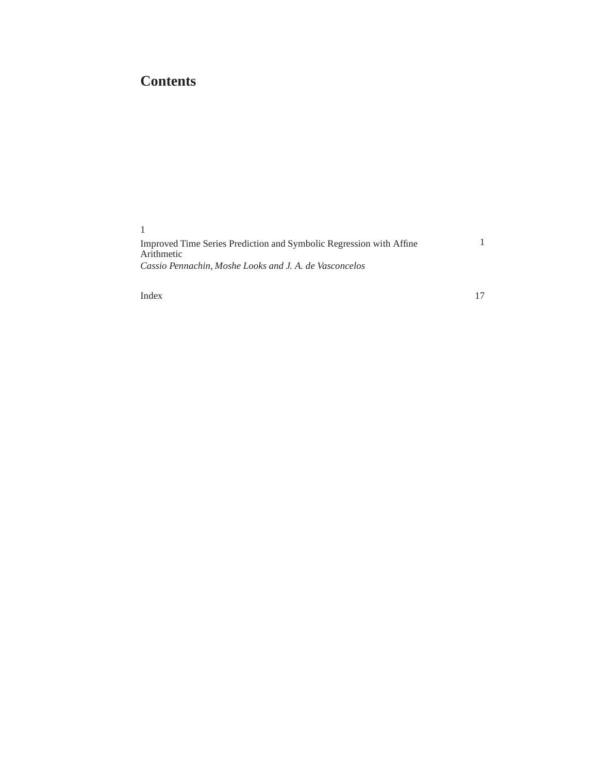# **Contents**

| -1                                                                  |  |
|---------------------------------------------------------------------|--|
| Improved Time Series Prediction and Symbolic Regression with Affine |  |
| Arithmetic                                                          |  |
| Cassio Pennachin, Moshe Looks and J. A. de Vasconcelos              |  |
|                                                                     |  |

Index 2008 and 2009 and 2008 and 2009 and 2008 and 2009 and 2008 and 2009 and 2008 and 2009 and 2008 and 2008 and 2008 and 2008 and 2008 and 2008 and 2008 and 2008 and 2008 and 2008 and 2008 and 2008 and 2008 and 2008 and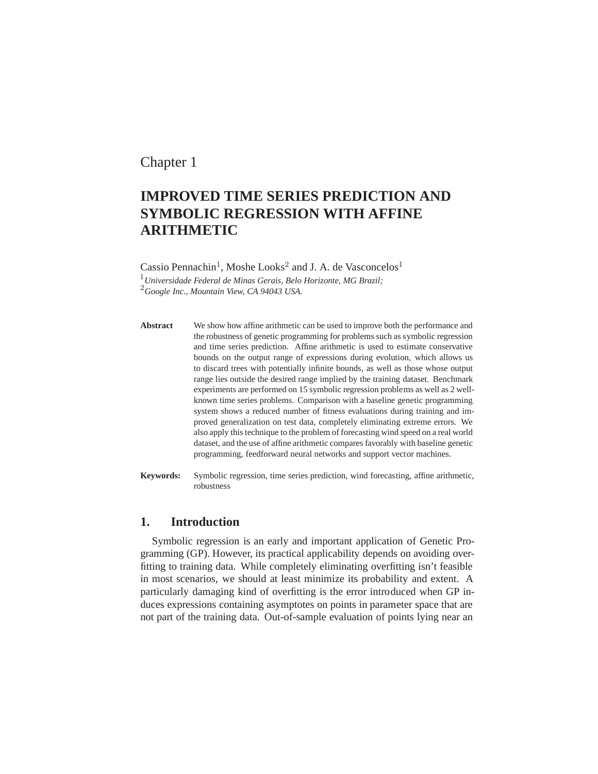## Chapter 1

## **IMPROVED TIME SERIES PREDICTION AND SYMBOLIC REGRESSION WITH AFFINE ARITHMETIC**

Cassio Pennachin<sup>1</sup>, Moshe Looks<sup>2</sup> and J. A. de Vasconcelos<sup>1</sup>

<sup>1</sup>*Universidade Federal de Minas Gerais, Belo Horizonte, MG Brazil;* <sup>2</sup>*Google Inc., Mountain View, CA 94043 USA.*

- **Abstract** We show how affine arithmetic can be used to improve both the performance and the robustness of genetic programming for problems such as symbolic regression and time series prediction. Affine arithmetic is used to estimate conservative bounds on the output range of expressions during evolution, which allows us to discard trees with potentially infinite bounds, as well as those whose output range lies outside the desired range implied by the training dataset. Benchmark experiments are performed on 15 symbolic regression problems as well as 2 wellknown time series problems. Comparison with a baseline genetic programming system shows a reduced number of fitness evaluations during training and improved generalization on test data, completely eliminating extreme errors. We also apply this technique to the problem of forecasting wind speed on a real world dataset, and the use of affine arithmetic compares favorably with baseline genetic programming, feedforward neural networks and support vector machines.
- **Keywords:** Symbolic regression, time series prediction, wind forecasting, affine arithmetic, robustness

## **1. Introduction**

Symbolic regression is an early and important application of Genetic Programming (GP). However, its practical applicability depends on avoiding overfitting to training data. While completely eliminating overfitting isn't feasible in most scenarios, we should at least minimize its probability and extent. A particularly damaging kind of overfitting is the error introduced when GP induces expressions containing asymptotes on points in parameter space that are not part of the training data. Out-of-sample evaluation of points lying near an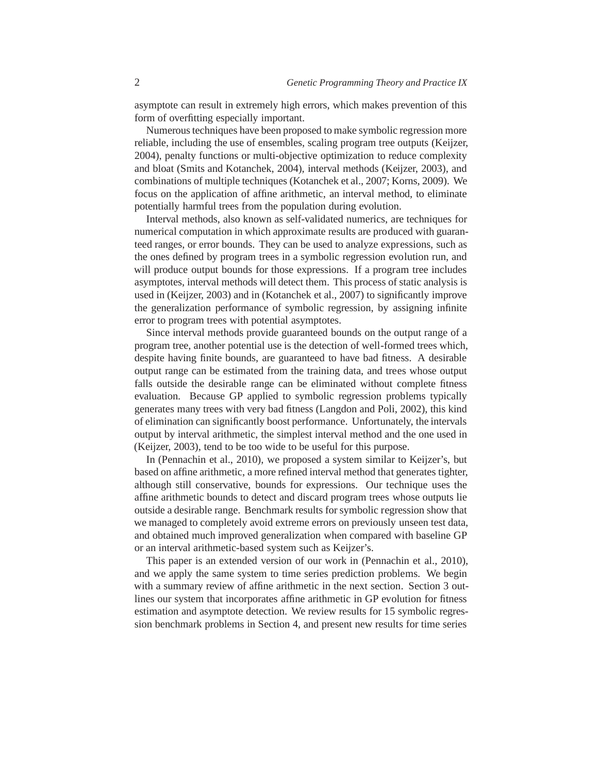asymptote can result in extremely high errors, which makes prevention of this form of overfitting especially important.

Numerous techniques have been proposed to make symbolic regression more reliable, including the use of ensembles, scaling program tree outputs (Keijzer, 2004), penalty functions or multi-objective optimization to reduce complexity and bloat (Smits and Kotanchek, 2004), interval methods (Keijzer, 2003), and combinations of multiple techniques (Kotanchek et al., 2007; Korns, 2009). We focus on the application of affine arithmetic, an interval method, to eliminate potentially harmful trees from the population during evolution.

Interval methods, also known as self-validated numerics, are techniques for numerical computation in which approximate results are produced with guaranteed ranges, or error bounds. They can be used to analyze expressions, such as the ones defined by program trees in a symbolic regression evolution run, and will produce output bounds for those expressions. If a program tree includes asymptotes, interval methods will detect them. This process of static analysis is used in (Keijzer, 2003) and in (Kotanchek et al., 2007) to significantly improve the generalization performance of symbolic regression, by assigning infinite error to program trees with potential asymptotes.

Since interval methods provide guaranteed bounds on the output range of a program tree, another potential use is the detection of well-formed trees which, despite having finite bounds, are guaranteed to have bad fitness. A desirable output range can be estimated from the training data, and trees whose output falls outside the desirable range can be eliminated without complete fitness evaluation. Because GP applied to symbolic regression problems typically generates many trees with very bad fitness (Langdon and Poli, 2002), this kind of elimination can significantly boost performance. Unfortunately, the intervals output by interval arithmetic, the simplest interval method and the one used in (Keijzer, 2003), tend to be too wide to be useful for this purpose.

In (Pennachin et al., 2010), we proposed a system similar to Keijzer's, but based on affine arithmetic, a more refined interval method that generates tighter, although still conservative, bounds for expressions. Our technique uses the affine arithmetic bounds to detect and discard program trees whose outputs lie outside a desirable range. Benchmark results for symbolic regression show that we managed to completely avoid extreme errors on previously unseen test data, and obtained much improved generalization when compared with baseline GP or an interval arithmetic-based system such as Keijzer's.

This paper is an extended version of our work in (Pennachin et al., 2010), and we apply the same system to time series prediction problems. We begin with a summary review of affine arithmetic in the next section. Section 3 outlines our system that incorporates affine arithmetic in GP evolution for fitness estimation and asymptote detection. We review results for 15 symbolic regression benchmark problems in Section 4, and present new results for time series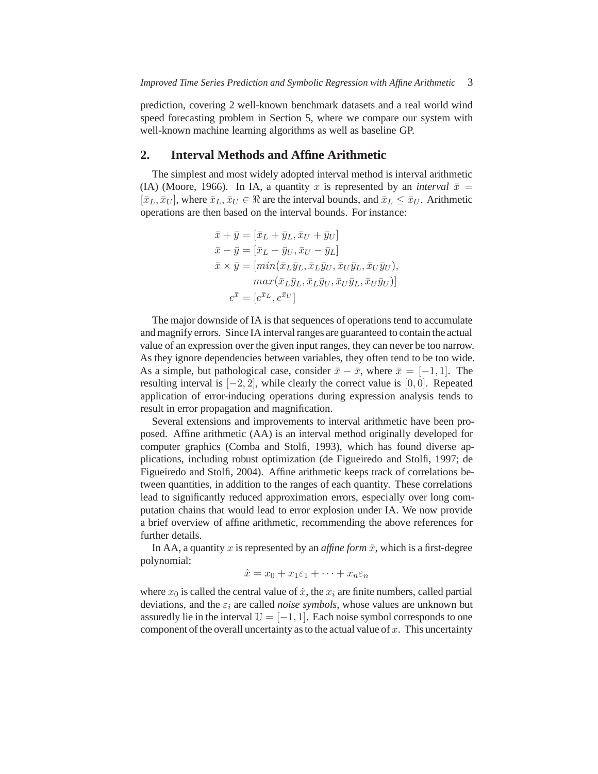prediction, covering 2 well-known benchmark datasets and a real world wind speed forecasting problem in Section 5, where we compare our system with well-known machine learning algorithms as well as baseline GP.

### **2. Interval Methods and Affine Arithmetic**

The simplest and most widely adopted interval method is interval arithmetic (IA) (Moore, 1966). In IA, a quantity x is represented by an *interval*  $\bar{x}$  =  $[\bar{x}_L, \bar{x}_U]$ , where  $\bar{x}_L, \bar{x}_U \in \Re$  are the interval bounds, and  $\bar{x}_L < \bar{x}_U$ . Arithmetic operations are then based on the interval bounds. For instance:

$$
\begin{aligned}\n\bar{x} + \bar{y} &= [\bar{x}_L + \bar{y}_L, \bar{x}_U + \bar{y}_U] \\
\bar{x} - \bar{y} &= [\bar{x}_L - \bar{y}_U, \bar{x}_U - \bar{y}_L] \\
\bar{x} \times \bar{y} &= [min(\bar{x}_L \bar{y}_L, \bar{x}_L \bar{y}_U, \bar{x}_U \bar{y}_L, \bar{x}_U \bar{y}_U), \\
& max(\bar{x}_L \bar{y}_L, \bar{x}_L \bar{y}_U, \bar{x}_U \bar{y}_L, \bar{x}_U \bar{y}_U)] \\
e^{\bar{x}} &= [e^{\bar{x}_L}, e^{\bar{x}_U}]\n\end{aligned}
$$

The major downside of IA is that sequences of operations tend to accumulate and magnify errors. Since IA interval ranges are guaranteed to contain the actual value of an expression over the given input ranges, they can never be too narrow. As they ignore dependencies between variables, they often tend to be too wide. As a simple, but pathological case, consider  $\bar{x} - \bar{x}$ , where  $\bar{x} = [-1, 1]$ . The resulting interval is  $[-2, 2]$ , while clearly the correct value is  $[0, 0]$ . Repeated application of error-inducing operations during expression analysis tends to result in error propagation and magnification.

Several extensions and improvements to interval arithmetic have been proposed. Affine arithmetic (AA) is an interval method originally developed for computer graphics (Comba and Stolfi, 1993), which has found diverse applications, including robust optimization (de Figueiredo and Stolfi, 1997; de Figueiredo and Stolfi, 2004). Affine arithmetic keeps track of correlations between quantities, in addition to the ranges of each quantity. These correlations lead to significantly reduced approximation errors, especially over long computation chains that would lead to error explosion under IA. We now provide a brief overview of affine arithmetic, recommending the above references for further details.

In AA, a quantity x is represented by an  $affine form \hat{x}$ , which is a first-degree polynomial:

$$
\hat{x} = x_0 + x_1 \varepsilon_1 + \dots + x_n \varepsilon_n
$$

where  $x_0$  is called the central value of  $\hat{x}$ , the  $x_i$  are finite numbers, called partial deviations, and the  $\varepsilon_i$  are called *noise symbols*, whose values are unknown but assuredly lie in the interval  $\mathbb{U} = [-1, 1]$ . Each noise symbol corresponds to one component of the overall uncertainty as to the actual value of  $x$ . This uncertainty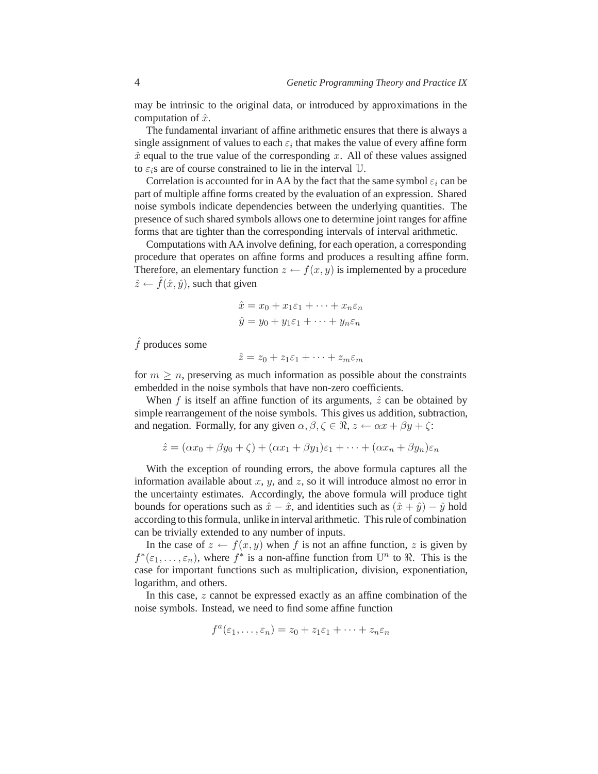may be intrinsic to the original data, or introduced by approximations in the computation of  $\hat{x}$ .

The fundamental invariant of affine arithmetic ensures that there is always a single assignment of values to each  $\varepsilon_i$  that makes the value of every affine form  $\hat{x}$  equal to the true value of the corresponding x. All of these values assigned to  $\varepsilon_i$ s are of course constrained to lie in the interval U.

Correlation is accounted for in AA by the fact that the same symbol  $\varepsilon_i$  can be part of multiple affine forms created by the evaluation of an expression. Shared noise symbols indicate dependencies between the underlying quantities. The presence of such shared symbols allows one to determine joint ranges for affine forms that are tighter than the corresponding intervals of interval arithmetic.

Computations with AA involve defining, for each operation, a corresponding procedure that operates on affine forms and produces a resulting affine form. Therefore, an elementary function  $z \leftarrow f(x, y)$  is implemented by a procedure  $\hat{z} \leftarrow \hat{f}(\hat{x}, \hat{y})$ , such that given

$$
\hat{x} = x_0 + x_1 \varepsilon_1 + \dots + x_n \varepsilon_n
$$
  

$$
\hat{y} = y_0 + y_1 \varepsilon_1 + \dots + y_n \varepsilon_n
$$

 $\hat{f}$  produces some

 $\hat{z} = z_0 + z_1 \varepsilon_1 + \cdots + z_m \varepsilon_m$ 

for  $m \geq n$ , preserving as much information as possible about the constraints embedded in the noise symbols that have non-zero coefficients.

When f is itself an affine function of its arguments,  $\hat{z}$  can be obtained by simple rearrangement of the noise symbols. This gives us addition, subtraction, and negation. Formally, for any given  $\alpha, \beta, \zeta \in \Re$ ,  $z \leftarrow \alpha x + \beta y + \zeta$ :

 $\hat{z} = (\alpha x_0 + \beta y_0 + \zeta) + (\alpha x_1 + \beta y_1)\varepsilon_1 + \cdots + (\alpha x_n + \beta y_n)\varepsilon_n$ 

With the exception of rounding errors, the above formula captures all the information available about x, y, and z, so it will introduce almost no error in the uncertainty estimates. Accordingly, the above formula will produce tight bounds for operations such as  $\hat{x} - \hat{x}$ , and identities such as  $(\hat{x} + \hat{y}) - \hat{y}$  hold according to this formula, unlike in interval arithmetic. This rule of combination can be trivially extended to any number of inputs.

In the case of  $z \leftarrow f(x, y)$  when f is not an affine function, z is given by  $f^*(\varepsilon_1,\ldots,\varepsilon_n)$ , where  $f^*$  is a non-affine function from  $\mathbb{U}^n$  to  $\Re$ . This is the case for important functions such as multiplication, division, exponentiation, logarithm, and others.

In this case, z cannot be expressed exactly as an affine combination of the noise symbols. Instead, we need to find some affine function

$$
f^a(\varepsilon_1,\ldots,\varepsilon_n)=z_0+z_1\varepsilon_1+\cdots+z_n\varepsilon_n
$$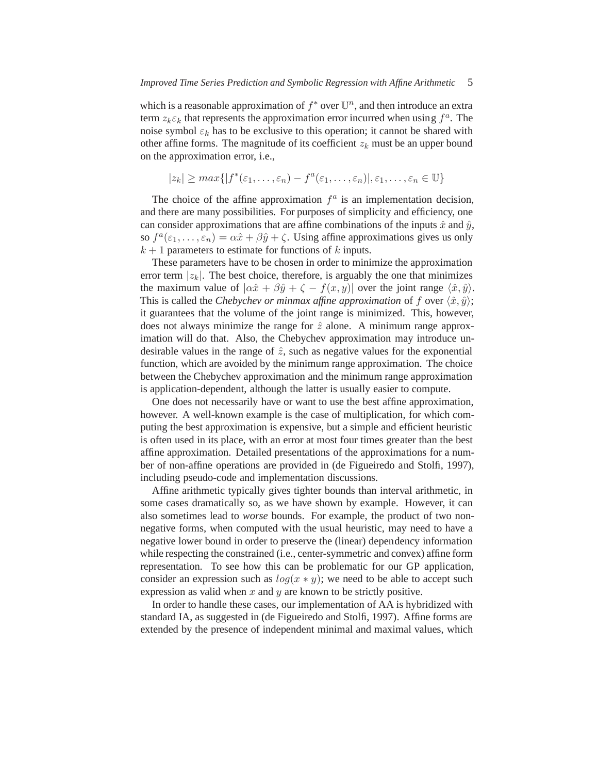which is a reasonable approximation of  $f^*$  over  $\mathbb{U}^n$ , and then introduce an extra term  $z_k \varepsilon_k$  that represents the approximation error incurred when using  $f^a$ . The noise symbol  $\varepsilon_k$  has to be exclusive to this operation; it cannot be shared with other affine forms. The magnitude of its coefficient  $z_k$  must be an upper bound on the approximation error, i.e.,

$$
|z_k| \geq max\{ |f^*(\varepsilon_1,\ldots,\varepsilon_n) - f^a(\varepsilon_1,\ldots,\varepsilon_n)|, \varepsilon_1,\ldots,\varepsilon_n \in \mathbb{U} \}
$$

The choice of the affine approximation  $f^a$  is an implementation decision, and there are many possibilities. For purposes of simplicity and efficiency, one can consider approximations that are affine combinations of the inputs  $\hat{x}$  and  $\hat{y}$ , so  $f^a(\varepsilon_1,\ldots,\varepsilon_n)=\alpha \hat{x}+\beta \hat{y}+\zeta$ . Using affine approximations gives us only  $k + 1$  parameters to estimate for functions of k inputs.

These parameters have to be chosen in order to minimize the approximation error term  $|z_k|$ . The best choice, therefore, is arguably the one that minimizes the maximum value of  $|\alpha \hat{x} + \beta \hat{y} + \zeta - f(x, y)|$  over the joint range  $\langle \hat{x}, \hat{y} \rangle$ . This is called the *Chebychev or minmax affine approximation* of f over  $\langle \hat{x}, \hat{y} \rangle$ ; it guarantees that the volume of the joint range is minimized. This, however, does not always minimize the range for  $\hat{z}$  alone. A minimum range approximation will do that. Also, the Chebychev approximation may introduce undesirable values in the range of  $\hat{z}$ , such as negative values for the exponential function, which are avoided by the minimum range approximation. The choice between the Chebychev approximation and the minimum range approximation is application-dependent, although the latter is usually easier to compute.

One does not necessarily have or want to use the best affine approximation, however. A well-known example is the case of multiplication, for which computing the best approximation is expensive, but a simple and efficient heuristic is often used in its place, with an error at most four times greater than the best affine approximation. Detailed presentations of the approximations for a number of non-affine operations are provided in (de Figueiredo and Stolfi, 1997), including pseudo-code and implementation discussions.

Affine arithmetic typically gives tighter bounds than interval arithmetic, in some cases dramatically so, as we have shown by example. However, it can also sometimes lead to *worse* bounds. For example, the product of two nonnegative forms, when computed with the usual heuristic, may need to have a negative lower bound in order to preserve the (linear) dependency information while respecting the constrained (i.e., center-symmetric and convex) affine form representation. To see how this can be problematic for our GP application, consider an expression such as  $log(x * y)$ ; we need to be able to accept such expression as valid when  $x$  and  $y$  are known to be strictly positive.

In order to handle these cases, our implementation of AA is hybridized with standard IA, as suggested in (de Figueiredo and Stolfi, 1997). Affine forms are extended by the presence of independent minimal and maximal values, which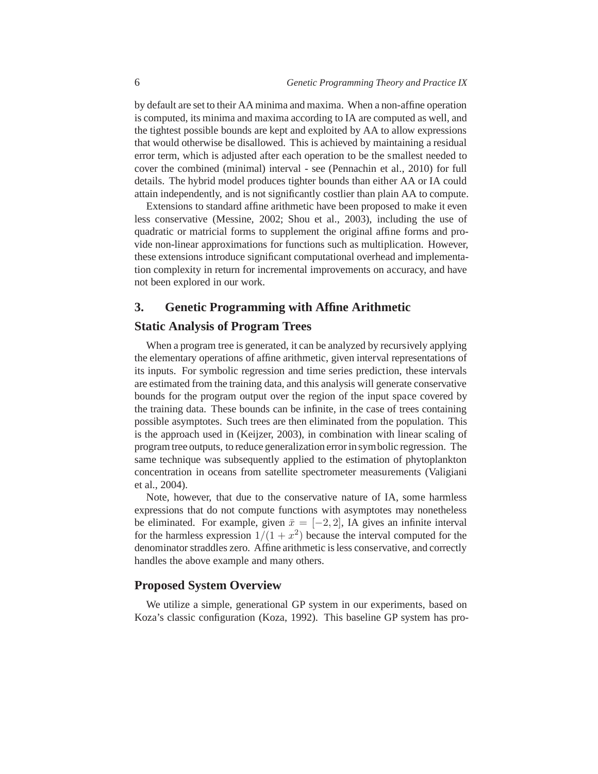by default are set to their AA minima and maxima. When a non-affine operation is computed, its minima and maxima according to IA are computed as well, and the tightest possible bounds are kept and exploited by AA to allow expressions that would otherwise be disallowed. This is achieved by maintaining a residual error term, which is adjusted after each operation to be the smallest needed to cover the combined (minimal) interval - see (Pennachin et al., 2010) for full details. The hybrid model produces tighter bounds than either AA or IA could attain independently, and is not significantly costlier than plain AA to compute.

Extensions to standard affine arithmetic have been proposed to make it even less conservative (Messine, 2002; Shou et al., 2003), including the use of quadratic or matricial forms to supplement the original affine forms and provide non-linear approximations for functions such as multiplication. However, these extensions introduce significant computational overhead and implementation complexity in return for incremental improvements on accuracy, and have not been explored in our work.

#### **3. Genetic Programming with Affine Arithmetic**

#### **Static Analysis of Program Trees**

When a program tree is generated, it can be analyzed by recursively applying the elementary operations of affine arithmetic, given interval representations of its inputs. For symbolic regression and time series prediction, these intervals are estimated from the training data, and this analysis will generate conservative bounds for the program output over the region of the input space covered by the training data. These bounds can be infinite, in the case of trees containing possible asymptotes. Such trees are then eliminated from the population. This is the approach used in (Keijzer, 2003), in combination with linear scaling of program tree outputs, to reduce generalization error in symbolic regression. The same technique was subsequently applied to the estimation of phytoplankton concentration in oceans from satellite spectrometer measurements (Valigiani et al., 2004).

Note, however, that due to the conservative nature of IA, some harmless expressions that do not compute functions with asymptotes may nonetheless be eliminated. For example, given  $\bar{x} = [-2, 2]$ , IA gives an infinite interval for the harmless expression  $1/(1+x^2)$  because the interval computed for the denominator straddles zero. Affine arithmetic is less conservative, and correctly handles the above example and many others.

### **Proposed System Overview**

We utilize a simple, generational GP system in our experiments, based on Koza's classic configuration (Koza, 1992). This baseline GP system has pro-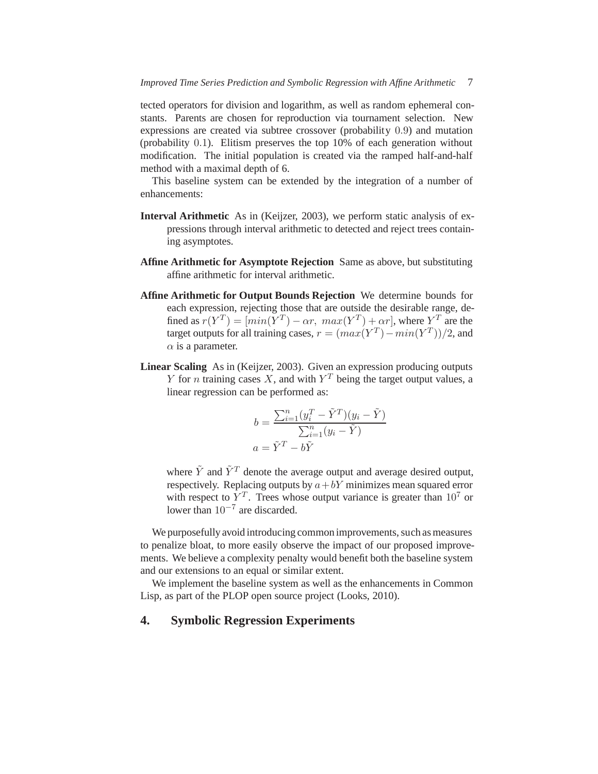tected operators for division and logarithm, as well as random ephemeral constants. Parents are chosen for reproduction via tournament selection. New expressions are created via subtree crossover (probability 0.9) and mutation (probability 0.1). Elitism preserves the top 10% of each generation without modification. The initial population is created via the ramped half-and-half method with a maximal depth of 6.

This baseline system can be extended by the integration of a number of enhancements:

- **Interval Arithmetic** As in (Keijzer, 2003), we perform static analysis of expressions through interval arithmetic to detected and reject trees containing asymptotes.
- **Affine Arithmetic for Asymptote Rejection** Same as above, but substituting affine arithmetic for interval arithmetic.
- **Affine Arithmetic for Output Bounds Rejection** We determine bounds for each expression, rejecting those that are outside the desirable range, defined as  $r(Y^T) = [min(Y^T) - \alpha r, max(Y^T) + \alpha r]$ , where  $Y^T$  are the target outputs for all training cases,  $r = (max(Y^T) - min(Y^T))/2$ , and  $\alpha$  is a parameter.
- **Linear Scaling** As in (Keijzer, 2003). Given an expression producing outputs Y for *n* training cases X, and with  $Y<sup>T</sup>$  being the target output values, a linear regression can be performed as:

$$
b = \frac{\sum_{i=1}^{n} (y_i^T - \tilde{Y}^T)(y_i - \tilde{Y})}{\sum_{i=1}^{n} (y_i - \tilde{Y})}
$$

$$
a = \tilde{Y}^T - b\tilde{Y}
$$

where  $\tilde{Y}$  and  $\tilde{Y}^{T}$  denote the average output and average desired output, respectively. Replacing outputs by  $a+b\overline{Y}$  minimizes mean squared error with respect to  $Y^T$ . Trees whose output variance is greater than  $10^7$  or lower than  $10^{-7}$  are discarded.

We purposefully avoid introducing common improvements, such as measures to penalize bloat, to more easily observe the impact of our proposed improvements. We believe a complexity penalty would benefit both the baseline system and our extensions to an equal or similar extent.

We implement the baseline system as well as the enhancements in Common Lisp, as part of the PLOP open source project (Looks, 2010).

## **4. Symbolic Regression Experiments**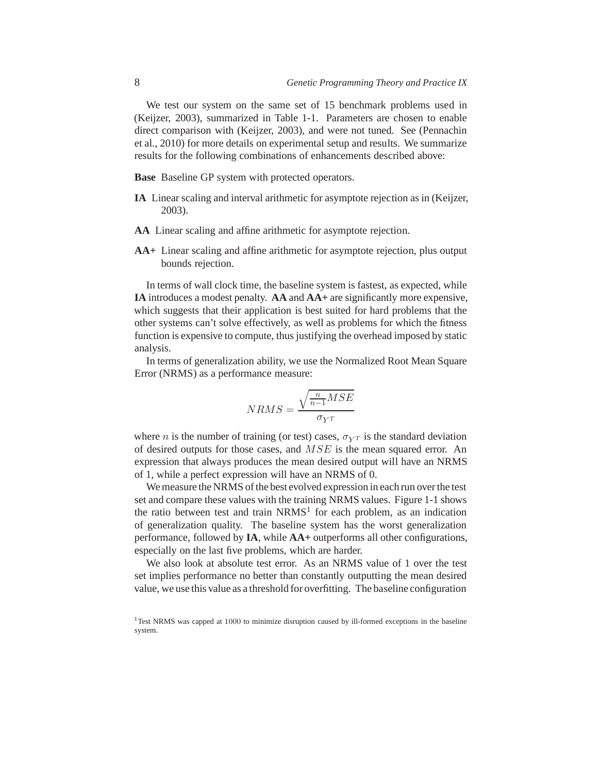We test our system on the same set of 15 benchmark problems used in (Keijzer, 2003), summarized in Table 1-1. Parameters are chosen to enable direct comparison with (Keijzer, 2003), and were not tuned. See (Pennachin et al., 2010) for more details on experimental setup and results. We summarize results for the following combinations of enhancements described above:

**Base** Baseline GP system with protected operators.

- **IA** Linear scaling and interval arithmetic for asymptote rejection as in (Keijzer, 2003).
- **AA** Linear scaling and affine arithmetic for asymptote rejection.
- **AA+** Linear scaling and affine arithmetic for asymptote rejection, plus output bounds rejection.

In terms of wall clock time, the baseline system is fastest, as expected, while **IA** introduces a modest penalty. **AA** and **AA+** are significantly more expensive, which suggests that their application is best suited for hard problems that the other systems can't solve effectively, as well as problems for which the fitness function is expensive to compute, thus justifying the overhead imposed by static analysis.

In terms of generalization ability, we use the Normalized Root Mean Square Error (NRMS) as a performance measure:

$$
NRMS = \frac{\sqrt{\frac{n}{n-1}MSE}}{\sigma_{Y}T}
$$

where *n* is the number of training (or test) cases,  $\sigma_{\rm YT}$  is the standard deviation of desired outputs for those cases, and MSE is the mean squared error. An expression that always produces the mean desired output will have an NRMS of 1, while a perfect expression will have an NRMS of 0.

We measure the NRMS of the best evolved expression in each run over the test set and compare these values with the training NRMS values. Figure 1-1 shows the ratio between test and train  $NRMS<sup>1</sup>$  for each problem, as an indication of generalization quality. The baseline system has the worst generalization performance, followed by **IA**, while **AA+** outperforms all other configurations, especially on the last five problems, which are harder.

We also look at absolute test error. As an NRMS value of 1 over the test set implies performance no better than constantly outputting the mean desired value, we use this value as a threshold for overfitting. The baseline configuration

<sup>&</sup>lt;sup>1</sup>Test NRMS was capped at 1000 to minimize disruption caused by ill-formed exceptions in the baseline system.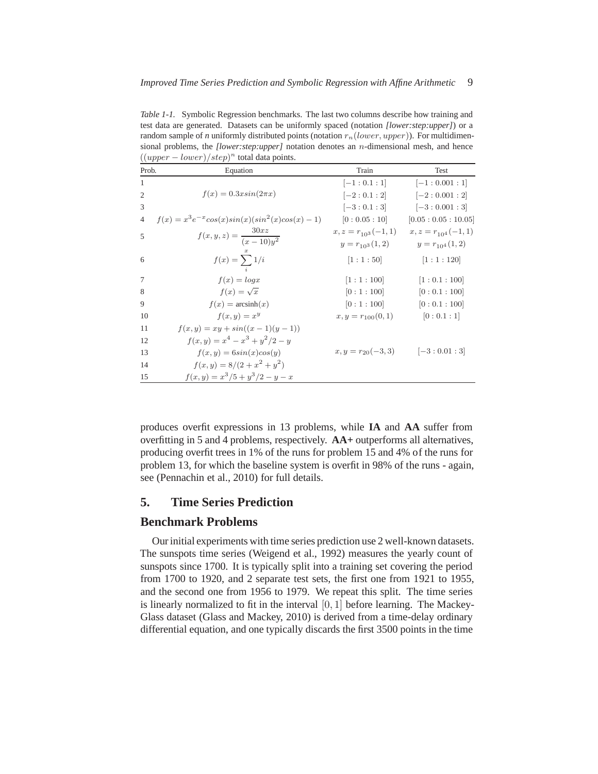*Table 1-1.* Symbolic Regression benchmarks. The last two columns describe how training and test data are generated. Datasets can be uniformly spaced (notation *[lower:step:upper]*) or a random sample of *n* uniformly distributed points (notation  $r_n(lower,upper)$ ). For multidimensional problems, the *[lower:step:upper]* notation denotes an n-dimensional mesh, and hence  $((upper-lower)/step)^n$  total data points.

| Prob.                         | Equation                                                    | Train                              | Test                    |
|-------------------------------|-------------------------------------------------------------|------------------------------------|-------------------------|
| 1                             |                                                             | $[-1:0.1:1]$                       | $[-1:0.001:1]$          |
| $\mathfrak{D}_{\mathfrak{p}}$ | $f(x) = 0.3x\sin(2\pi x)$                                   | $[-2:0.1:2]$                       | $[-2:0.001:2]$          |
| 3                             |                                                             | $[-3:0.1:3]$                       | $[-3:0.001:3]$          |
| $\overline{4}$                | $f(x) = x^3 e^{-x} \cos(x) \sin(x) (\sin^2(x) \cos(x) - 1)$ | [0:0.05:10]                        | [0.05:0.05:10.05]       |
| 5                             | $f(x, y, z) = \frac{30xz}{(x - 10)y^2}$                     | $x, z = r_{103}(-1, 1)$            | $x, z = r_{104}(-1, 1)$ |
|                               |                                                             | $y = r_{10^3}(1,2)$                | $y = r_{10^4}(1,2)$     |
| 6                             | $f(x)=\sum 1/i$                                             | [1:1:50]                           | [1:1:120]               |
| 7                             | $f(x) = log x$                                              | [1:1:100]                          | [1:0.1:100]             |
| 8                             | $f(x) = \sqrt{x}$                                           | [0:1:100]                          | [0:0.1:100]             |
| 9                             | $f(x) = \operatorname{arcsinh}(x)$                          | [0:1:100]                          | [0:0.1:100]             |
| 10                            | $f(x, y) = x^y$                                             | $x, y = r_{100}(0, 1)$             | [0:0.1:1]               |
| 11                            | $f(x, y) = xy + sin((x - 1)(y - 1))$                        |                                    |                         |
| 12                            | $f(x, y) = x^4 - x^3 + y^2/2 - y$                           |                                    |                         |
| 13                            | $f(x, y) = 6sin(x)cos(y)$                                   | $x, y = r_{20}(-3, 3)$ [-3:0.01:3] |                         |
| 14                            | $f(x, y) = 8/(2 + x^2 + y^2)$                               |                                    |                         |
| 15                            | $f(x, y) = x^3/5 + y^3/2 - y - x$                           |                                    |                         |

produces overfit expressions in 13 problems, while **IA** and **AA** suffer from overfitting in 5 and 4 problems, respectively. **AA+** outperforms all alternatives, producing overfit trees in 1% of the runs for problem 15 and 4% of the runs for problem 13, for which the baseline system is overfit in 98% of the runs - again, see (Pennachin et al., 2010) for full details.

## **5. Time Series Prediction**

## **Benchmark Problems**

Our initial experiments with time series prediction use 2 well-known datasets. The sunspots time series (Weigend et al., 1992) measures the yearly count of sunspots since 1700. It is typically split into a training set covering the period from 1700 to 1920, and 2 separate test sets, the first one from 1921 to 1955, and the second one from 1956 to 1979. We repeat this split. The time series is linearly normalized to fit in the interval [0, 1] before learning. The Mackey-Glass dataset (Glass and Mackey, 2010) is derived from a time-delay ordinary differential equation, and one typically discards the first 3500 points in the time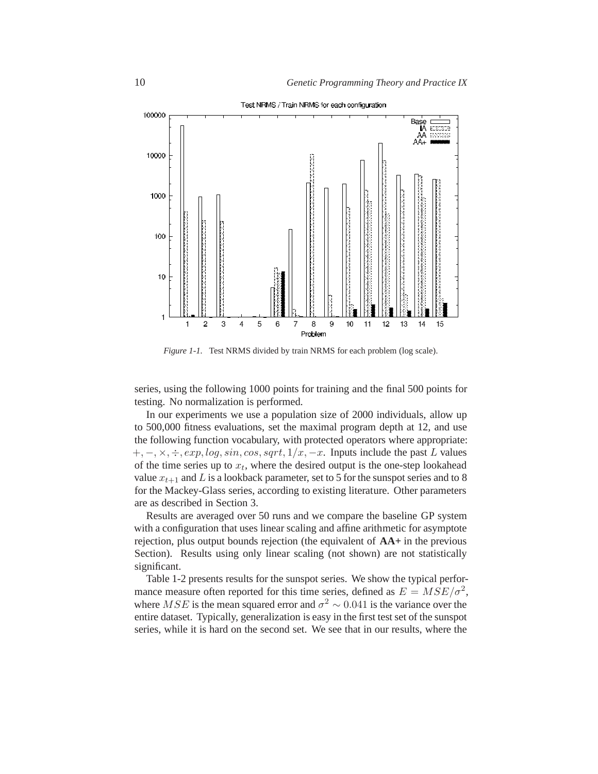

*Figure 1-1.* Test NRMS divided by train NRMS for each problem (log scale).

series, using the following 1000 points for training and the final 500 points for testing. No normalization is performed.

In our experiments we use a population size of 2000 individuals, allow up to 500,000 fitness evaluations, set the maximal program depth at 12, and use the following function vocabulary, with protected operators where appropriate:  $+, -, \times, \div, \exp, \log, \sin, \cos, \sqrt{3}$ ,  $\ln(1/x, -x)$ . Inputs include the past L values of the time series up to  $x_t$ , where the desired output is the one-step lookahead value  $x_{t+1}$  and L is a lookback parameter, set to 5 for the sunspot series and to 8 for the Mackey-Glass series, according to existing literature. Other parameters are as described in Section 3.

Results are averaged over 50 runs and we compare the baseline GP system with a configuration that uses linear scaling and affine arithmetic for asymptote rejection, plus output bounds rejection (the equivalent of **AA+** in the previous Section). Results using only linear scaling (not shown) are not statistically significant.

Table 1-2 presents results for the sunspot series. We show the typical performance measure often reported for this time series, defined as  $E = MSE/\sigma^2$ , where *MSE* is the mean squared error and  $\sigma^2 \sim 0.041$  is the variance over the entire dataset. Typically, generalization is easy in the first test set of the sunspot series, while it is hard on the second set. We see that in our results, where the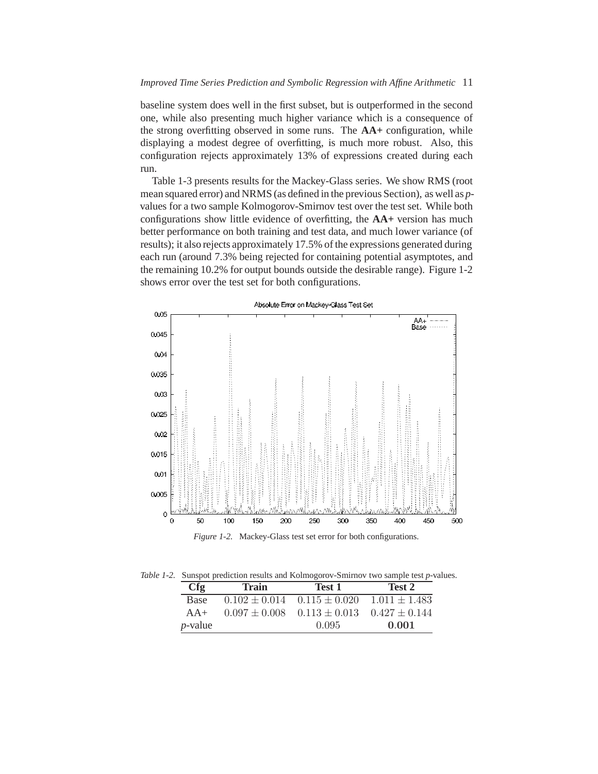baseline system does well in the first subset, but is outperformed in the second one, while also presenting much higher variance which is a consequence of the strong overfitting observed in some runs. The **AA+** configuration, while displaying a modest degree of overfitting, is much more robust. Also, this configuration rejects approximately 13% of expressions created during each run.

Table 1-3 presents results for the Mackey-Glass series. We show RMS (root mean squared error) and NRMS (as defined in the previous Section), as well as *p*values for a two sample Kolmogorov-Smirnov test over the test set. While both configurations show little evidence of overfitting, the **AA+** version has much better performance on both training and test data, and much lower variance (of results); it also rejects approximately 17.5% of the expressions generated during each run (around 7.3% being rejected for containing potential asymptotes, and the remaining 10.2% for output bounds outside the desirable range). Figure 1-2 shows error over the test set for both configurations.



*Figure 1-2.* Mackey-Glass test set error for both configurations.

*Table 1-2.* Sunspot prediction results and Kolmogorov-Smirnov two sample test *p*-values.

| Cfg             | Train | Test 1                                                | Test 2            |
|-----------------|-------|-------------------------------------------------------|-------------------|
| <b>Base</b>     |       | $0.102 \pm 0.014$ $0.115 \pm 0.020$                   | $1.011 \pm 1.483$ |
| $AA+$           |       | $0.097 \pm 0.008$ $0.113 \pm 0.013$ $0.427 \pm 0.144$ |                   |
| <i>p</i> -value |       | 0.095                                                 | 0.001             |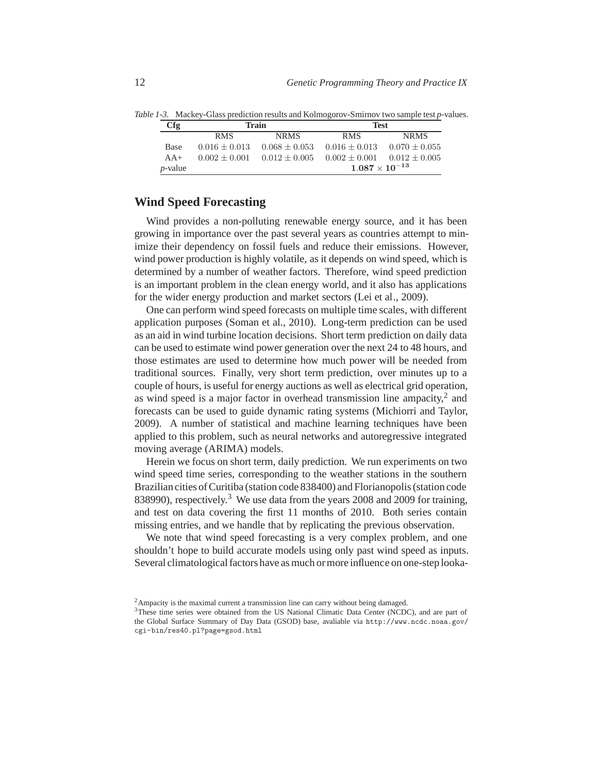| Cfg             | Train           |                         | Test            |                 |
|-----------------|-----------------|-------------------------|-----------------|-----------------|
|                 | <b>RMS</b>      | <b>NRMS</b>             | <b>RMS</b>      | <b>NRMS</b>     |
| <b>Base</b>     | $0.016 + 0.013$ | $0.068 + 0.053$         | $0.016 + 0.013$ | $0.070 + 0.055$ |
| $AA+$           | $0.002 + 0.001$ | $0.012 + 0.005$         | $0.002 + 0.001$ | $0.012 + 0.005$ |
| <i>p</i> -value |                 | $1.087 \times 10^{-13}$ |                 |                 |

*Table 1-3.* Mackey-Glass prediction results and Kolmogorov-Smirnov two sample test *p*-values.

### **Wind Speed Forecasting**

Wind provides a non-polluting renewable energy source, and it has been growing in importance over the past several years as countries attempt to minimize their dependency on fossil fuels and reduce their emissions. However, wind power production is highly volatile, as it depends on wind speed, which is determined by a number of weather factors. Therefore, wind speed prediction is an important problem in the clean energy world, and it also has applications for the wider energy production and market sectors (Lei et al., 2009).

One can perform wind speed forecasts on multiple time scales, with different application purposes (Soman et al., 2010). Long-term prediction can be used as an aid in wind turbine location decisions. Short term prediction on daily data can be used to estimate wind power generation over the next 24 to 48 hours, and those estimates are used to determine how much power will be needed from traditional sources. Finally, very short term prediction, over minutes up to a couple of hours, is useful for energy auctions as well as electrical grid operation, as wind speed is a major factor in overhead transmission line ampacity, $2$  and forecasts can be used to guide dynamic rating systems (Michiorri and Taylor, 2009). A number of statistical and machine learning techniques have been applied to this problem, such as neural networks and autoregressive integrated moving average (ARIMA) models.

Herein we focus on short term, daily prediction. We run experiments on two wind speed time series, corresponding to the weather stations in the southern Brazilian cities of Curitiba (station code 838400) and Florianopolis (station code 838990), respectively.<sup>3</sup> We use data from the years 2008 and 2009 for training, and test on data covering the first 11 months of 2010. Both series contain missing entries, and we handle that by replicating the previous observation.

We note that wind speed forecasting is a very complex problem, and one shouldn't hope to build accurate models using only past wind speed as inputs. Several climatological factors have as much or more influence on one-step looka-

<sup>&</sup>lt;sup>2</sup>Ampacity is the maximal current a transmission line can carry without being damaged.

<sup>&</sup>lt;sup>3</sup>These time series were obtained from the US National Climatic Data Center (NCDC), and are part of the Global Surface Summary of Day Data (GSOD) base, avaliable via http://www.ncdc.noaa.gov/ cgi-bin/res40.pl?page=gsod.html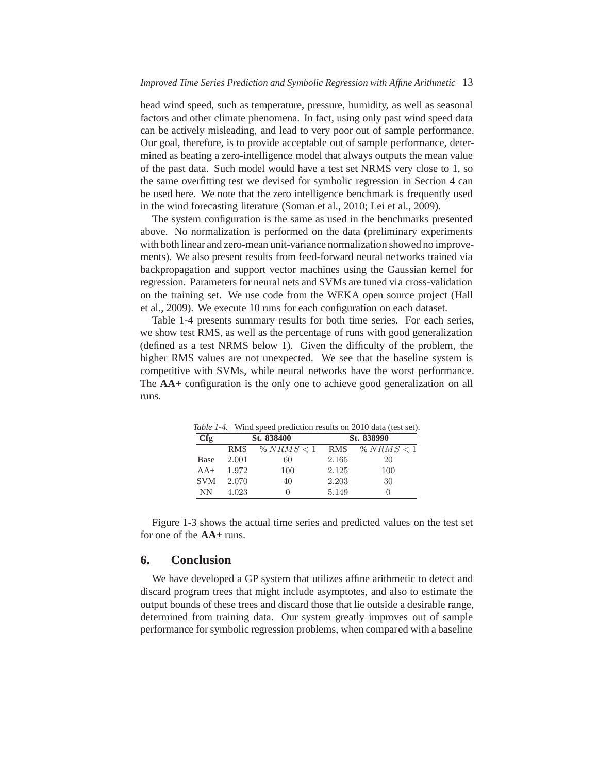head wind speed, such as temperature, pressure, humidity, as well as seasonal factors and other climate phenomena. In fact, using only past wind speed data can be actively misleading, and lead to very poor out of sample performance. Our goal, therefore, is to provide acceptable out of sample performance, determined as beating a zero-intelligence model that always outputs the mean value of the past data. Such model would have a test set NRMS very close to 1, so the same overfitting test we devised for symbolic regression in Section 4 can be used here. We note that the zero intelligence benchmark is frequently used in the wind forecasting literature (Soman et al., 2010; Lei et al., 2009).

The system configuration is the same as used in the benchmarks presented above. No normalization is performed on the data (preliminary experiments with both linear and zero-mean unit-variance normalization showed no improvements). We also present results from feed-forward neural networks trained via backpropagation and support vector machines using the Gaussian kernel for regression. Parameters for neural nets and SVMs are tuned via cross-validation on the training set. We use code from the WEKA open source project (Hall et al., 2009). We execute 10 runs for each configuration on each dataset.

Table 1-4 presents summary results for both time series. For each series, we show test RMS, as well as the percentage of runs with good generalization (defined as a test NRMS below 1). Given the difficulty of the problem, the higher RMS values are not unexpected. We see that the baseline system is competitive with SVMs, while neural networks have the worst performance. The **AA+** configuration is the only one to achieve good generalization on all runs.

| <i>rable 1</i> -4. The speed prediction results on 2010 data (itst set) |            |               |            |               |  |
|-------------------------------------------------------------------------|------------|---------------|------------|---------------|--|
| Cfg                                                                     | St. 838400 |               | St. 838990 |               |  |
|                                                                         | RMS.       | % $N RMS < 1$ | <b>RMS</b> | % $N RMS < 1$ |  |
| <b>Base</b>                                                             | 2.001      | 60            | 2.165      | 20            |  |
| $AA+$                                                                   | 1.972      | 100           | 2.125      | 100           |  |
| <b>SVM</b>                                                              | 2.070      | 40            | 2.203      | 30            |  |
| <b>NN</b>                                                               | 4.023      |               | 5.149      |               |  |

*Table 1-4.* Wind speed prediction results on 2010 data (test set).

Figure 1-3 shows the actual time series and predicted values on the test set for one of the **AA+** runs.

#### **6. Conclusion**

We have developed a GP system that utilizes affine arithmetic to detect and discard program trees that might include asymptotes, and also to estimate the output bounds of these trees and discard those that lie outside a desirable range, determined from training data. Our system greatly improves out of sample performance for symbolic regression problems, when compared with a baseline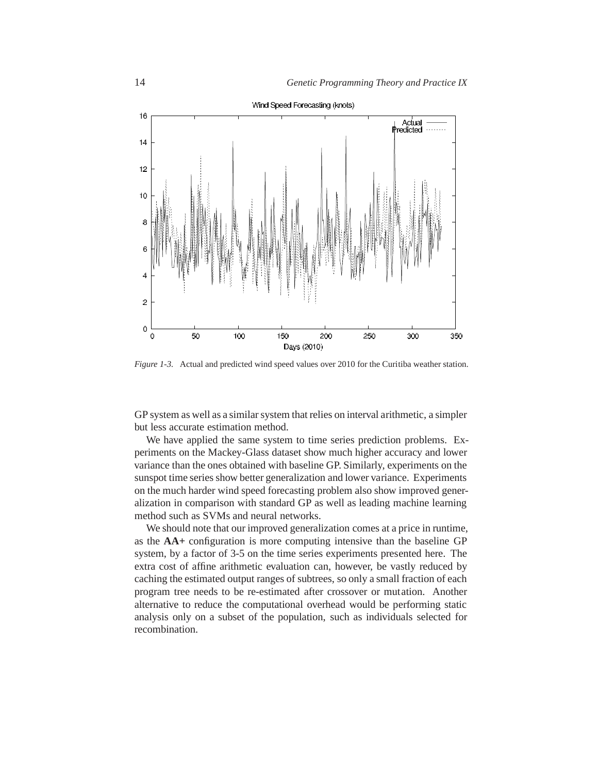

*Figure 1-3.* Actual and predicted wind speed values over 2010 for the Curitiba weather station.

GP system as well as a similar system that relies on interval arithmetic, a simpler but less accurate estimation method.

We have applied the same system to time series prediction problems. Experiments on the Mackey-Glass dataset show much higher accuracy and lower variance than the ones obtained with baseline GP. Similarly, experiments on the sunspot time series show better generalization and lower variance. Experiments on the much harder wind speed forecasting problem also show improved generalization in comparison with standard GP as well as leading machine learning method such as SVMs and neural networks.

We should note that our improved generalization comes at a price in runtime, as the **AA+** configuration is more computing intensive than the baseline GP system, by a factor of 3-5 on the time series experiments presented here. The extra cost of affine arithmetic evaluation can, however, be vastly reduced by caching the estimated output ranges of subtrees, so only a small fraction of each program tree needs to be re-estimated after crossover or mutation. Another alternative to reduce the computational overhead would be performing static analysis only on a subset of the population, such as individuals selected for recombination.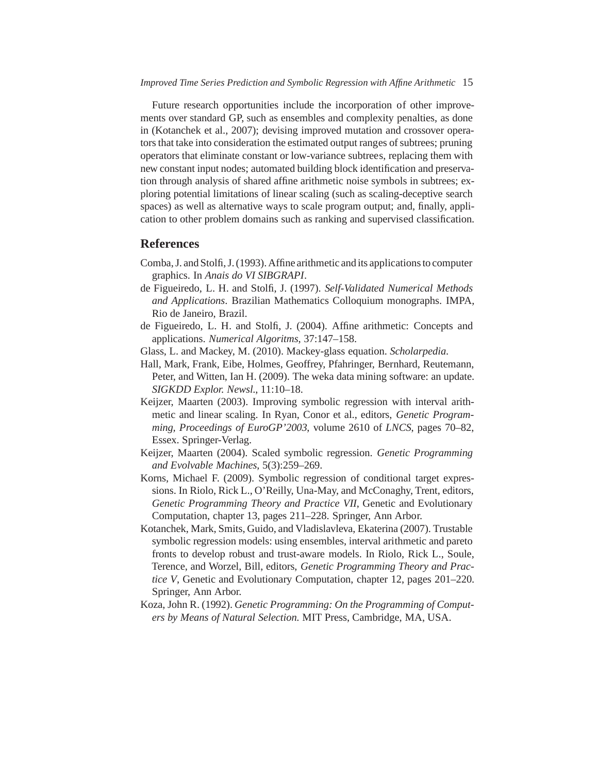Future research opportunities include the incorporation of other improvements over standard GP, such as ensembles and complexity penalties, as done in (Kotanchek et al., 2007); devising improved mutation and crossover operators that take into consideration the estimated output ranges of subtrees; pruning operators that eliminate constant or low-variance subtrees, replacing them with new constant input nodes; automated building block identification and preservation through analysis of shared affine arithmetic noise symbols in subtrees; exploring potential limitations of linear scaling (such as scaling-deceptive search spaces) as well as alternative ways to scale program output; and, finally, application to other problem domains such as ranking and supervised classification.

### **References**

- Comba, J. and Stolfi, J. (1993). Affine arithmetic and its applications to computer graphics. In *Anais do VI SIBGRAPI*.
- de Figueiredo, L. H. and Stolfi, J. (1997). *Self-Validated Numerical Methods and Applications*. Brazilian Mathematics Colloquium monographs. IMPA, Rio de Janeiro, Brazil.
- de Figueiredo, L. H. and Stolfi, J. (2004). Affine arithmetic: Concepts and applications. *Numerical Algoritms*, 37:147–158.
- Glass, L. and Mackey, M. (2010). Mackey-glass equation. *Scholarpedia*.
- Hall, Mark, Frank, Eibe, Holmes, Geoffrey, Pfahringer, Bernhard, Reutemann, Peter, and Witten, Ian H. (2009). The weka data mining software: an update. *SIGKDD Explor. Newsl.*, 11:10–18.
- Keijzer, Maarten (2003). Improving symbolic regression with interval arithmetic and linear scaling. In Ryan, Conor et al., editors, *Genetic Programming, Proceedings of EuroGP'2003*, volume 2610 of *LNCS*, pages 70–82, Essex. Springer-Verlag.
- Keijzer, Maarten (2004). Scaled symbolic regression. *Genetic Programming and Evolvable Machines*, 5(3):259–269.
- Korns, Michael F. (2009). Symbolic regression of conditional target expressions. In Riolo, Rick L., O'Reilly, Una-May, and McConaghy, Trent, editors, *Genetic Programming Theory and Practice VII*, Genetic and Evolutionary Computation, chapter 13, pages 211–228. Springer, Ann Arbor.
- Kotanchek, Mark, Smits, Guido, and Vladislavleva, Ekaterina (2007). Trustable symbolic regression models: using ensembles, interval arithmetic and pareto fronts to develop robust and trust-aware models. In Riolo, Rick L., Soule, Terence, and Worzel, Bill, editors, *Genetic Programming Theory and Practice V*, Genetic and Evolutionary Computation, chapter 12, pages 201–220. Springer, Ann Arbor.
- Koza, John R. (1992). *Genetic Programming: On the Programming of Computers by Means of Natural Selection*. MIT Press, Cambridge, MA, USA.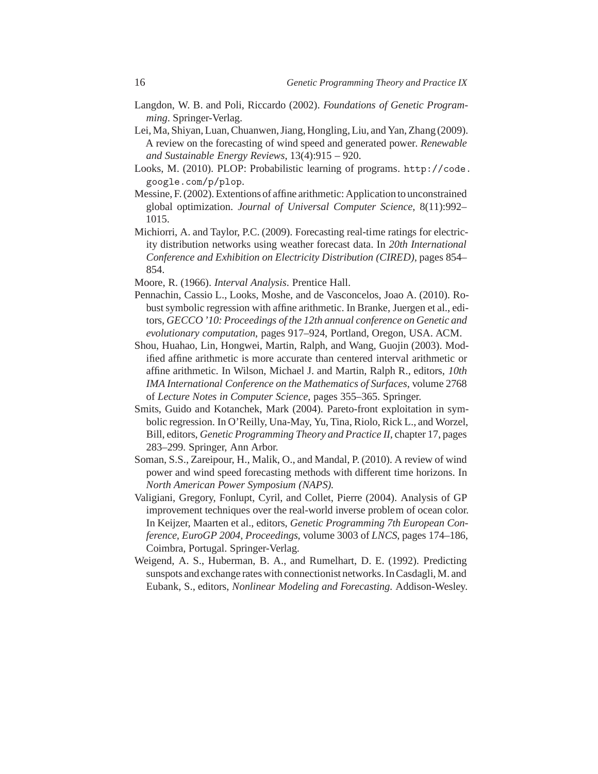- Langdon, W. B. and Poli, Riccardo (2002). *Foundations of Genetic Programming*. Springer-Verlag.
- Lei, Ma, Shiyan, Luan, Chuanwen, Jiang, Hongling, Liu, and Yan, Zhang (2009). A review on the forecasting of wind speed and generated power. *Renewable and Sustainable Energy Reviews*, 13(4):915 – 920.
- Looks, M. (2010). PLOP: Probabilistic learning of programs. http://code. google.com/p/plop.
- Messine, F. (2002). Extentions of affine arithmetic: Application to unconstrained global optimization. *Journal of Universal Computer Science*, 8(11):992– 1015.
- Michiorri, A. and Taylor, P.C. (2009). Forecasting real-time ratings for electricity distribution networks using weather forecast data. In *20th International Conference and Exhibition on Electricity Distribution (CIRED)*, pages 854– 854.
- Moore, R. (1966). *Interval Analysis*. Prentice Hall.
- Pennachin, Cassio L., Looks, Moshe, and de Vasconcelos, Joao A. (2010). Robust symbolic regression with affine arithmetic. In Branke, Juergen et al., editors, *GECCO '10: Proceedings of the 12th annual conference on Genetic and evolutionary computation*, pages 917–924, Portland, Oregon, USA. ACM.
- Shou, Huahao, Lin, Hongwei, Martin, Ralph, and Wang, Guojin (2003). Modified affine arithmetic is more accurate than centered interval arithmetic or affine arithmetic. In Wilson, Michael J. and Martin, Ralph R., editors, *10th IMA International Conference on the Mathematics of Surfaces*, volume 2768 of *Lecture Notes in Computer Science*, pages 355–365. Springer.
- Smits, Guido and Kotanchek, Mark (2004). Pareto-front exploitation in symbolic regression. In O'Reilly, Una-May, Yu, Tina, Riolo, Rick L., and Worzel, Bill, editors, *Genetic Programming Theory and Practice II*, chapter 17, pages 283–299. Springer, Ann Arbor.
- Soman, S.S., Zareipour, H., Malik, O., and Mandal, P. (2010). A review of wind power and wind speed forecasting methods with different time horizons. In *North American Power Symposium (NAPS)*.
- Valigiani, Gregory, Fonlupt, Cyril, and Collet, Pierre (2004). Analysis of GP improvement techniques over the real-world inverse problem of ocean color. In Keijzer, Maarten et al., editors, *Genetic Programming 7th European Conference, EuroGP 2004, Proceedings*, volume 3003 of *LNCS*, pages 174–186, Coimbra, Portugal. Springer-Verlag.
- Weigend, A. S., Huberman, B. A., and Rumelhart, D. E. (1992). Predicting sunspots and exchange rates with connectionist networks. In Casdagli, M. and Eubank, S., editors, *Nonlinear Modeling and Forecasting*. Addison-Wesley.